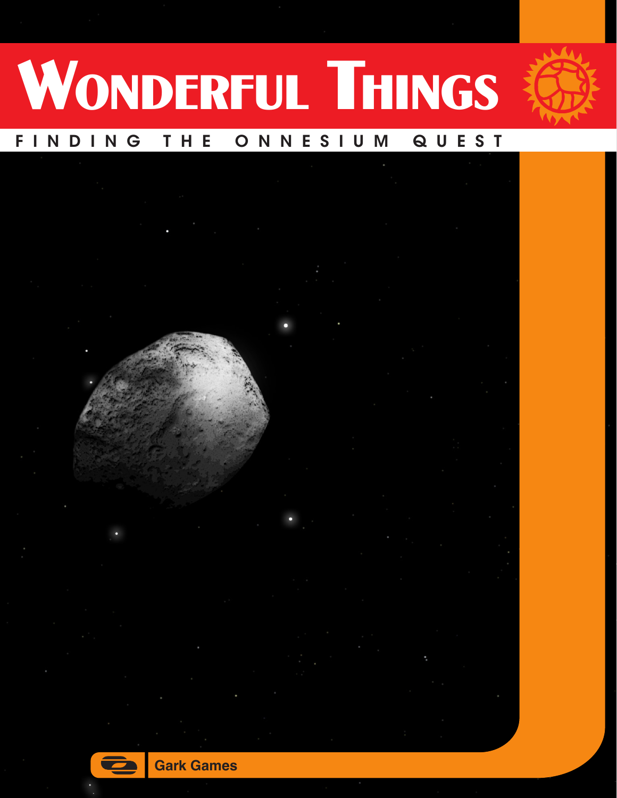

# WONDERFUL THINGS

## FINDING THE ONNESIUM QUEST



1

**Gark Games**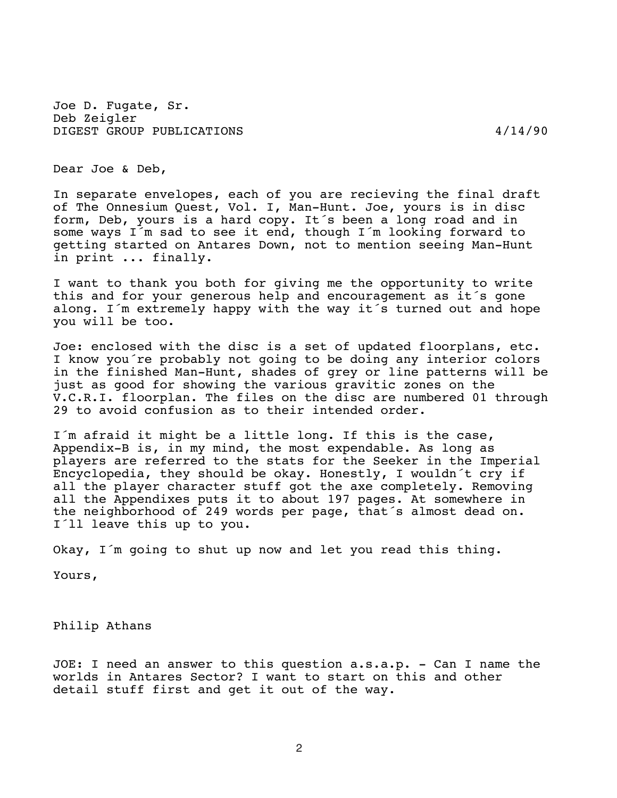Joe D. Fugate, Sr. Deb Zeigler DIGEST GROUP PUBLICATIONS 4/14/90

Dear Joe & Deb,

 In separate envelopes, each of you are recieving the final draft of The Onnesium Quest, Vol. I, Man-Hunt. Joe, yours is in disc form, Deb, yours is a hard copy. It´s been a long road and in some ways I´m sad to see it end, though I´m looking forward to getting started on Antares Down, not to mention seeing Man-Hunt in print ... finally.

 I want to thank you both for giving me the opportunity to write this and for your generous help and encouragement as it´s gone along. I´m extremely happy with the way it´s turned out and hope you will be too.

 Joe: enclosed with the disc is a set of updated floorplans, etc. I know you´re probably not going to be doing any interior colors in the finished Man-Hunt, shades of grey or line patterns will be just as good for showing the various gravitic zones on the V.C.R.I. floorplan. The files on the disc are numbered 01 through 29 to avoid confusion as to their intended order.

 I´m afraid it might be a little long. If this is the case, Appendix-B is, in my mind, the most expendable. As long as players are referred to the stats for the Seeker in the Imperial Encyclopedia, they should be okay. Honestly, I wouldn´t cry if all the player character stuff got the axe completely. Removing all the Appendixes puts it to about 197 pages. At somewhere in the neighborhood of 249 words per page, that´s almost dead on. I´ll leave this up to you.

Okay, I´m going to shut up now and let you read this thing.

Yours,

Philip Athans

 JOE: I need an answer to this question a.s.a.p. - Can I name the worlds in Antares Sector? I want to start on this and other detail stuff first and get it out of the way.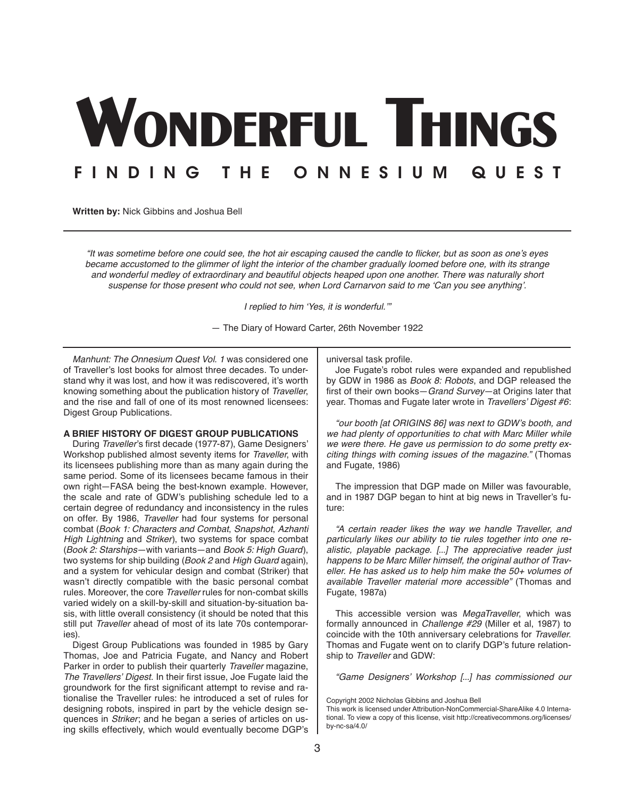# WONDERFUL THINGS FINDING THE ONNESIUM QUEST

**Written by:** Nick Gibbins and Joshua Bell

"It was sometime before one could see, the hot air escaping caused the candle to flicker, but as soon as one's eyes became accustomed to the glimmer of light the interior of the chamber gradually loomed before one, with its strange and wonderful medley of extraordinary and beautiful objects heaped upon one another. There was naturally short suspense for those present who could not see, when Lord Carnarvon said to me 'Can you see anything'.

I replied to him 'Yes, it is wonderful.'"

— The Diary of Howard Carter, 26th November 1922

*Manhunt: The Onnesium Quest Vol. 1* was considered one of Traveller's lost books for almost three decades. To understand why it was lost, and how it was rediscovered, it's worth knowing something about the publication history of *Traveller*, and the rise and fall of one of its most renowned licensees: Digest Group Publications.

#### **A BRIEF HISTORY OF DIGEST GROUP PUBLICATIONS**

During *Traveller*'s first decade (1977-87), Game Designers' Workshop published almost seventy items for *Traveller*, with its licensees publishing more than as many again during the same period. Some of its licensees became famous in their own right—FASA being the best-known example. However, the scale and rate of GDW's publishing schedule led to a certain degree of redundancy and inconsistency in the rules on offer. By 1986, *Traveller* had four systems for personal combat (*Book 1: Characters and Combat*, *Snapshot*, *Azhanti High Lightning* and *Striker*), two systems for space combat (*Book 2: Starships*—with variants—and *Book 5: High Guard*), two systems for ship building (*Book 2* and *High Guard* again), and a system for vehicular design and combat (Striker) that wasn't directly compatible with the basic personal combat rules. Moreover, the core *Traveller* rules for non-combat skills varied widely on a skill-by-skill and situation-by-situation basis, with little overall consistency (it should be noted that this still put *Traveller* ahead of most of its late 70s contemporaries).

Digest Group Publications was founded in 1985 by Gary Thomas, Joe and Patricia Fugate, and Nancy and Robert Parker in order to publish their quarterly *Traveller* magazine, The Travellers' Digest. In their first issue, Joe Fugate laid the groundwork for the first significant attempt to revise and rationalise the Traveller rules: he introduced a set of rules for designing robots, inspired in part by the vehicle design sequences in *Striker*; and he began a series of articles on using skills effectively, which would eventually become DGP's

universal task profile.

Joe Fugate's robot rules were expanded and republished by GDW in 1986 as *Book 8: Robots*, and DGP released the first of their own books—*Grand Survey*—at Origins later that year. Thomas and Fugate later wrote in Travellers' Digest #6:

"our booth [at ORIGINS 86] was next to GDW's booth, and we had plenty of opportunities to chat with Marc Miller while we were there. He gave us permission to do some pretty exciting things with coming issues of the magazine." (Thomas and Fugate, 1986)

The impression that DGP made on Miller was favourable, and in 1987 DGP began to hint at big news in Traveller's future:

"A certain reader likes the way we handle Traveller, and *particularly likes our ability to tie rules together into one re*alistic, playable package. [...] The appreciative reader just happens to be Marc Miller himself, the original author of Traveller. He has asked us to help him make the 50+ volumes of available Traveller material more accessible" (Thomas and Fugate, 1987a)

This accessible version was *MegaTraveller*, which was formally announced in Challenge #29 (Miller et al, 1987) to coincide with the 10th anniversary celebrations for *Traveller*. Thomas and Fugate went on to clarify DGP's future relationship to *Traveller* and GDW:

"Game Designers' Workshop [...] has commissioned our

Copyright 2002 Nicholas Gibbins and Joshua Bell

This work is licensed under Attribution-NonCommercial-ShareAlike 4.0 International. To view a copy of this license, visit [http://creativecommons.org/licenses/](http://creativecommons.org/licenses/by-nc-sa/4.0/) [by-nc-sa/4.0/](http://creativecommons.org/licenses/by-nc-sa/4.0/)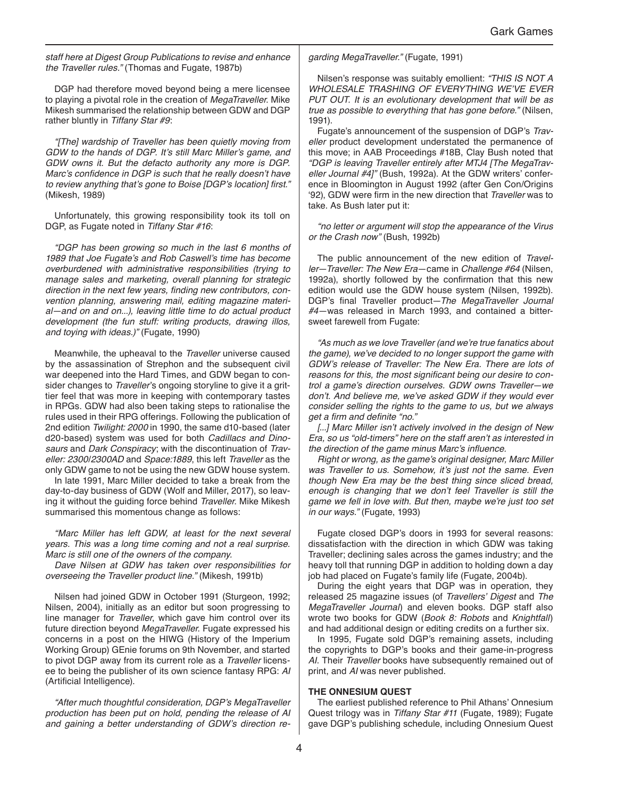staff here at Digest Group Publications to revise and enhance the Traveller rules." (Thomas and Fugate, 1987b)

DGP had therefore moved beyond being a mere licensee to playing a pivotal role in the creation of *MegaTraveller*. Mike Mikesh summarised the relationship between GDW and DGP rather bluntly in Tiffany Star #9:

"[The] wardship of Traveller has been quietly moving from GDW to the hands of DGP. It's still Marc Miller's game, and GDW owns it. But the defacto authority any more is DGP. Marc's confidence in DGP is such that he really doesn't have to review anything that's gone to Boise [DGP's location] first." (Mikesh, 1989)

Unfortunately, this growing responsibility took its toll on DGP, as Fugate noted in Tiffany Star #16:

"DGP has been growing so much in the last 6 months of 1989 that Joe Fugate's and Rob Caswell's time has become overburdened with administrative responsibilities (trying to manage sales and marketing, overall planning for strategic direction in the next few years, finding new contributors, convention planning, answering mail, editing magazine material—and on and on...), leaving little time to do actual product development (the fun stuff: writing products, drawing illos, and toying with ideas.)" (Fugate, 1990)

Meanwhile, the upheaval to the *Traveller* universe caused by the assassination of Strephon and the subsequent civil war deepened into the Hard Times, and GDW began to consider changes to *Traveller*'s ongoing storyline to give it a grittier feel that was more in keeping with contemporary tastes in RPGs. GDW had also been taking steps to rationalise the rules used in their RPG offerings. Following the publication of 2nd edition Twilight: 2000 in 1990, the same d10-based (later d20-based) system was used for both Cadillacs and Dino*saurs* and Dark Conspiracy; with the discontinuation of *Traveller: 2300*/2300AD and Space:1889, this left *Traveller* as the only GDW game to not be using the new GDW house system.

In late 1991, Marc Miller decided to take a break from the day-to-day business of GDW (Wolf and Miller, 2017), so leaving it without the guiding force behind *Traveller*. Mike Mikesh summarised this momentous change as follows:

"Marc Miller has left GDW, at least for the next several years. This was a long time coming and not a real surprise. Marc is still one of the owners of the company.

Dave Nilsen at GDW has taken over responsibilities for overseeing the Traveller product line." (Mikesh, 1991b)

Nilsen had joined GDW in October 1991 (Sturgeon, 1992; Nilsen, 2004), initially as an editor but soon progressing to line manager for *Traveller*, which gave him control over its future direction beyond *MegaTraveller*. Fugate expressed his concerns in a post on the HIWG (History of the Imperium Working Group) GEnie forums on 9th November, and started to pivot DGP away from its current role as a *Traveller* licensee to being the publisher of its own science fantasy RPG: *AI* (Artificial Intelligence).

"After much thoughtful consideration, DGP's MegaTraveller production has been put on hold, pending the release of AI and gaining a better understanding of GDW's direction re*-* garding MegaTraveller." (Fugate, 1991)

Nilsen's response was suitably emollient: *"THIS IS NOT A*  WHOLESALE TRASHING OF EVERYTHING WE'VE EVER PUT OUT. It is an evolutionary development that will be as true as possible to everything that has gone before." (Nilsen, 1991).

Fugate's announcement of the suspension of DGP's *Traveller* product development understated the permanence of this move; in AAB Proceedings #18B, Clay Bush noted that "DGP is leaving Traveller entirely after MTJ4 [The MegaTraveller Journal #4]" (Bush, 1992a). At the GDW writers' conference in Bloomington in August 1992 (after Gen Con/Origins '92), GDW were firm in the new direction that *Traveller* was to take. As Bush later put it:

"no letter or argument will stop the appearance of the Virus or the Crash now" (Bush, 1992b)

The public announcement of the new edition of *Traveller*—Traveller: The New Era—came in Challenge #64 (Nilsen, 1992a), shortly followed by the confirmation that this new edition would use the GDW house system (Nilsen, 1992b). DGP's final Traveller product—The MegaTraveller Journal #4—was released in March 1993, and contained a bittersweet farewell from Fugate:

"As much as we love Traveller (and we're true fanatics about the game), we've decided to no longer support the game with GDW's release of Traveller: The New Era. There are lots of reasons for this, the most significant being our desire to control a game's direction ourselves. GDW owns Traveller—we don't. And believe me, we've asked GDW if they would ever consider selling the rights to the game to us, but we always get a firm and definite "no."

[...] Marc Miller isn't actively involved in the design of New Era, so us "old-timers" here on the staff aren't as interested in the direction of the game minus Marc's influence.

Right or wrong, as the game's original designer, Marc Miller was Traveller to us. Somehow, it's just not the same. Even though New Era may be the best thing since sliced bread, enough is changing that we don't feel Traveller is still the game we fell in love with. But then, maybe we're just too set in our ways." (Fugate, 1993)

Fugate closed DGP's doors in 1993 for several reasons: dissatisfaction with the direction in which GDW was taking Traveller; declining sales across the games industry; and the heavy toll that running DGP in addition to holding down a day job had placed on Fugate's family life (Fugate, 2004b).

During the eight years that DGP was in operation, they released 25 magazine issues (of Travellers' Digest and *The*  MegaTraveller Journal) and eleven books. DGP staff also wrote two books for GDW (*Book 8: Robots* and Knightfall) and had additional design or editing credits on a further six.

In 1995, Fugate sold DGP's remaining assets, including the copyrights to DGP's books and their game-in-progress *AI*. Their *Traveller* books have subsequently remained out of print, and *AI* was never published.

#### **THE ONNESIUM QUEST**

The earliest published reference to Phil Athans' Onnesium Quest trilogy was in Tiffany Star #11 (Fugate, 1989); Fugate gave DGP's publishing schedule, including Onnesium Quest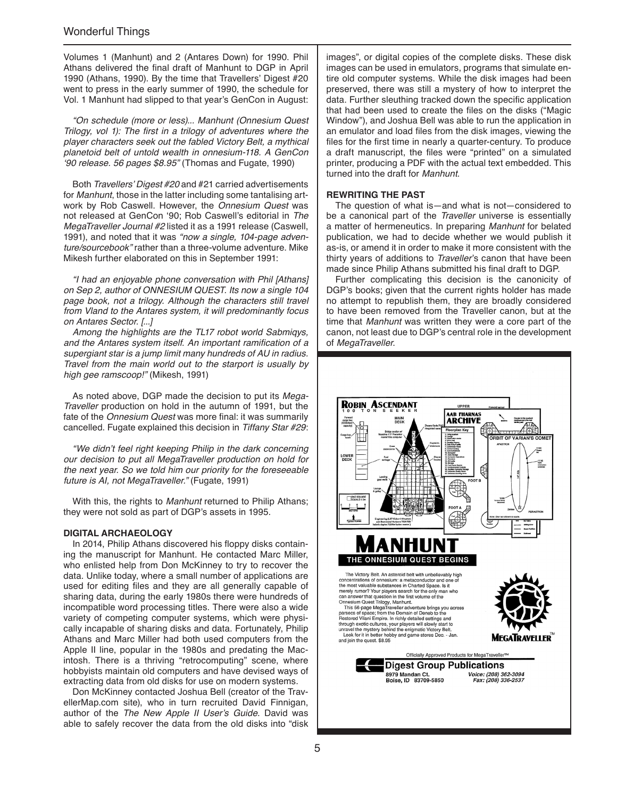Volumes 1 (Manhunt) and 2 (Antares Down) for 1990. Phil Athans delivered the final draft of Manhunt to DGP in April 1990 (Athans, 1990). By the time that Travellers' Digest #20 went to press in the early summer of 1990, the schedule for Vol. 1 Manhunt had slipped to that year's GenCon in August:

"On schedule (more or less)... Manhunt (Onnesium Quest Trilogy, vol 1): The first in a trilogy of adventures where the player characters seek out the fabled Victory Belt, a mythical planetoid belt of untold wealth in onnesium-118. A GenCon '90 release. 56 pages \$8.95" (Thomas and Fugate, 1990)

Both Travellers' Digest #20 and #21 carried advertisements for *Manhunt*, those in the latter including some tantalising artwork by Rob Caswell. However, the *Onnesium Quest* was not released at GenCon '90; Rob Caswell's editorial in *The*  MegaTraveller Journal #2 listed it as a 1991 release (Caswell, 1991), and noted that it was "now a single, 104-page adventure/sourcebook" rather than a three-volume adventure. Mike Mikesh further elaborated on this in September 1991:

"I had an enjoyable phone conversation with Phil [Athans] on Sep 2, author of ONNESIUM QUEST. Its now a single 104 page book, not a trilogy. Although the characters still travel from Vland to the Antares system, it will predominantly focus on Antares Sector. [...]

Among the highlights are the TL17 robot world Sabmiqys, and the Antares system itself. An important ramification of a supergiant star is a jump limit many hundreds of AU in radius. Travel from the main world out to the starport is usually by high gee ramscoop!" (Mikesh, 1991)

As noted above, DGP made the decision to put its *Mega-Traveller* production on hold in the autumn of 1991, but the fate of the *Onnesium Quest* was more final: it was summarily cancelled. Fugate explained this decision in Tiffany Star #29:

"We didn't feel right keeping Philip in the dark concerning our decision to put all MegaTraveller production on hold for the next year. So we told him our priority for the foreseeable future is AI, not MegaTraveller." (Fugate, 1991)

With this, the rights to *Manhunt* returned to Philip Athans; they were not sold as part of DGP's assets in 1995.

#### **DIGITAL ARCHAEOLOGY**

In 2014, Philip Athans discovered his floppy disks containing the manuscript for Manhunt. He contacted Marc Miller, who enlisted help from Don McKinney to try to recover the data. Unlike today, where a small number of applications are used for editing files and they are all generally capable of sharing data, during the early 1980s there were hundreds of incompatible word processing titles. There were also a wide variety of competing computer systems, which were physically incapable of sharing disks and data. Fortunately, Philip Athans and Marc Miller had both used computers from the Apple II line, popular in the 1980s and predating the Macintosh. There is a thriving "retrocomputing" scene, where hobbyists maintain old computers and have devised ways of extracting data from old disks for use on modern systems.

Don McKinney contacted Joshua Bell (creator of the TravellerMap.com site), who in turn recruited David Finnigan, author of the The New Apple II User's Guide. David was able to safely recover the data from the old disks into "disk images", or digital copies of the complete disks. These disk images can be used in emulators, programs that simulate entire old computer systems. While the disk images had been preserved, there was still a mystery of how to interpret the data. Further sleuthing tracked down the specific application that had been used to create the files on the disks ("Magic Window"), and Joshua Bell was able to run the application in an emulator and load files from the disk images, viewing the files for the first time in nearly a quarter-century. To produce a draft manuscript, the files were "printed" on a simulated printer, producing a PDF with the actual text embedded. This turned into the draft for *Manhunt*.

#### **REWRITING THE PAST**

The question of what is—and what is not—considered to be a canonical part of the *Traveller* universe is essentially a matter of hermeneutics. In preparing *Manhunt* for belated publication, we had to decide whether we would publish it as-is, or amend it in order to make it more consistent with the thirty years of additions to *Traveller*'s canon that have been made since Philip Athans submitted his final draft to DGP.

Further complicating this decision is the canonicity of DGP's books; given that the current rights holder has made no attempt to republish them, they are broadly considered to have been removed from the Traveller canon, but at the time that *Manhunt* was written they were a core part of the canon, not least due to DGP's central role in the development of *MegaTraveller*.

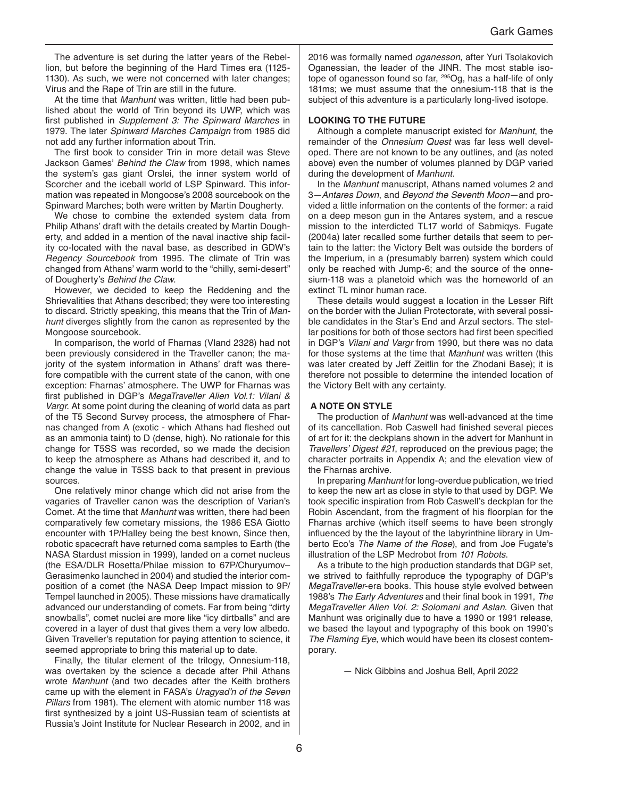The adventure is set during the latter years of the Rebellion, but before the beginning of the Hard Times era (1125- 1130). As such, we were not concerned with later changes; Virus and the Rape of Trin are still in the future.

At the time that *Manhunt* was written, little had been published about the world of Trin beyond its UWP, which was first published in Supplement 3: The Spinward Marches in 1979. The later Spinward Marches Campaign from 1985 did not add any further information about Trin.

The first book to consider Trin in more detail was Steve Jackson Games' Behind the Claw from 1998, which names the system's gas giant Orslei, the inner system world of Scorcher and the iceball world of LSP Spinward. This information was repeated in Mongoose's 2008 sourcebook on the Spinward Marches; both were written by Martin Dougherty.

We chose to combine the extended system data from Philip Athans' draft with the details created by Martin Dougherty, and added in a mention of the naval inactive ship facility co-located with the naval base, as described in GDW's *Regency Sourcebook* from 1995. The climate of Trin was changed from Athans' warm world to the "chilly, semi-desert" of Dougherty's Behind the Claw.

However, we decided to keep the Reddening and the Shrievalities that Athans described; they were too interesting to discard. Strictly speaking, this means that the Trin of *Manhunt* diverges slightly from the canon as represented by the Mongoose sourcebook.

In comparison, the world of Fharnas (Vland 2328) had not been previously considered in the Traveller canon; the majority of the system information in Athans' draft was therefore compatible with the current state of the canon, with one exception: Fharnas' atmosphere. The UWP for Fharnas was first published in DGP's *MegaTraveller Alien Vol.1: Vilani & Vargr*. At some point during the cleaning of world data as part of the T5 Second Survey process, the atmosphere of Fharnas changed from A (exotic - which Athans had fleshed out as an ammonia taint) to D (dense, high). No rationale for this change for T5SS was recorded, so we made the decision to keep the atmosphere as Athans had described it, and to change the value in T5SS back to that present in previous sources.

One relatively minor change which did not arise from the vagaries of Traveller canon was the description of Varian's Comet. At the time that *Manhunt* was written, there had been comparatively few cometary missions, the 1986 ESA Giotto encounter with 1P/Halley being the best known, Since then, robotic spacecraft have returned coma samples to Earth (the NASA Stardust mission in 1999), landed on a comet nucleus (the ESA/DLR Rosetta/Philae mission to 67P/Churyumov– Gerasimenko launched in 2004) and studied the interior composition of a comet (the NASA Deep Impact mission to 9P/ Tempel launched in 2005). These missions have dramatically advanced our understanding of comets. Far from being "dirty snowballs", comet nuclei are more like "icy dirtballs" and are covered in a layer of dust that gives them a very low albedo. Given Traveller's reputation for paying attention to science, it seemed appropriate to bring this material up to date.

Finally, the titular element of the trilogy, Onnesium-118, was overtaken by the science a decade after Phil Athans wrote *Manhunt* (and two decades after the Keith brothers came up with the element in FASA's Uragyad'n of the Seven Pillars from 1981). The element with atomic number 118 was first synthesized by a joint US-Russian team of scientists at Russia's Joint Institute for Nuclear Research in 2002, and in 2016 was formally named *oganesson*, after Yuri Tsolakovich Oganessian, the leader of the JINR. The most stable isotope of oganesson found so far, <sup>295</sup>Og, has a half-life of only 181ms; we must assume that the onnesium-118 that is the subject of this adventure is a particularly long-lived isotope.

#### **LOOKING TO THE FUTURE**

Although a complete manuscript existed for *Manhunt*, the remainder of the *Onnesium Quest* was far less well developed. There are not known to be any outlines, and (as noted above) even the number of volumes planned by DGP varied during the development of *Manhunt*.

In the *Manhunt* manuscript, Athans named volumes 2 and 3—Antares Down, and *Beyond the Seventh Moon*—and provided a little information on the contents of the former: a raid on a deep meson gun in the Antares system, and a rescue mission to the interdicted TL17 world of Sabmiqys. Fugate (2004a) later recalled some further details that seem to pertain to the latter: the Victory Belt was outside the borders of the Imperium, in a (presumably barren) system which could only be reached with Jump-6; and the source of the onnesium-118 was a planetoid which was the homeworld of an extinct TL minor human race.

These details would suggest a location in the Lesser Rift on the border with the Julian Protectorate, with several possible candidates in the Star's End and Arzul sectors. The stellar positions for both of those sectors had first been specified in DGP's *Vilani and Vargr* from 1990, but there was no data for those systems at the time that *Manhunt* was written (this was later created by Jeff Zeitlin for the Zhodani Base); it is therefore not possible to determine the intended location of the Victory Belt with any certainty.

#### **A NOTE ON STYLE**

The production of *Manhunt* was well-advanced at the time of its cancellation. Rob Caswell had finished several pieces of art for it: the deckplans shown in the advert for Manhunt in Travellers' Digest #21, reproduced on the previous page; the character portraits in Appendix A; and the elevation view of the Fharnas archive.

In preparing *Manhunt* for long-overdue publication, we tried to keep the new art as close in style to that used by DGP. We took specific inspiration from Rob Caswell's deckplan for the Robin Ascendant, from the fragment of his floorplan for the Fharnas archive (which itself seems to have been strongly influenced by the the layout of the labyrinthine library in Umberto Eco's The Name of the Rose), and from Joe Fugate's illustration of the LSP Medrobot from *101 Robots*.

As a tribute to the high production standards that DGP set, we strived to faithfully reproduce the typography of DGP's *MegaTraveller*-era books. This house style evolved between 1988's The Early Adventures and their final book in 1991, *The MegaTraveller Alien Vol. 2: Solomani and Aslan*. Given that Manhunt was originally due to have a 1990 or 1991 release, we based the layout and typography of this book on 1990's The Flaming Eye, which would have been its closest contemporary.

— Nick Gibbins and Joshua Bell, April 2022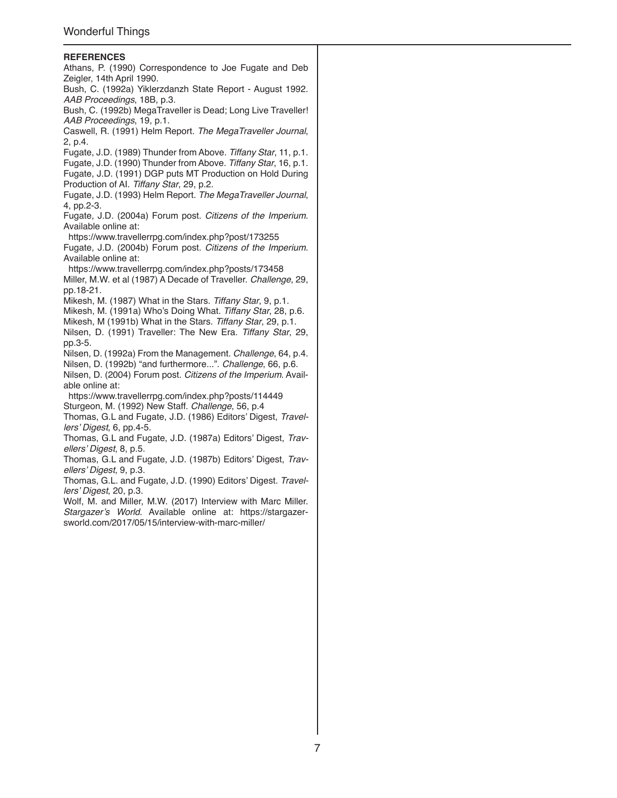#### **REFERENCES**

Athans, P. (1990) Correspondence to Joe Fugate and Deb Zeigler, 14th April 1990. Bush, C. (1992a) Yiklerzdanzh State Report - August 1992. AAB Proceedings, 18B, p.3. Bush, C. (1992b) MegaTraveller is Dead; Long Live Traveller! AAB Proceedings, 19, p.1. Caswell, R. (1991) Helm Report. The MegaTraveller Journal, 2, p.4. Fugate, J.D. (1989) Thunder from Above. Tiffany Star, 11, p.1. Fugate, J.D. (1990) Thunder from Above. Tiffany Star, 16, p.1. Fugate, J.D. (1991) DGP puts MT Production on Hold During Production of AI. Tiffany Star, 29, p.2. Fugate, J.D. (1993) Helm Report. The MegaTraveller Journal, 4, pp.2-3. Fugate, J.D. (2004a) Forum post. Citizens of the Imperium. Available online at: <https://www.travellerrpg.com/index.php?post/173255> Fugate, J.D. (2004b) Forum post. Citizens of the Imperium. Available online at: <https://www.travellerrpg.com/index.php?posts/173458> Miller, M.W. et al (1987) A Decade of Traveller. *Challenge*, 29, pp.18-21. Mikesh, M. (1987) What in the Stars. Tiffany Star, 9, p.1. Mikesh, M. (1991a) Who's Doing What. Tiffany Star, 28, p.6. Mikesh, M (1991b) What in the Stars. Tiffany Star, 29, p.1. Nilsen, D. (1991) Traveller: The New Era. Tiffany Star, 29, pp.3-5. Nilsen, D. (1992a) From the Management. *Challenge*, 64, p.4. Nilsen, D. (1992b) "and furthermore...". *Challenge*, 66, p.6. Nilsen, D. (2004) Forum post. Citizens of the Imperium. Available online at: <https://www.travellerrpg.com/index.php?posts/114449> Sturgeon, M. (1992) New Staff. *Challenge*, 56, p.4 Thomas, G.L and Fugate, J.D. (1986) Editors' Digest, *Travel*lers' Digest, 6, pp.4-5. Thomas, G.L and Fugate, J.D. (1987a) Editors' Digest, *Trav*ellers' Digest, 8, p.5. Thomas, G.L and Fugate, J.D. (1987b) Editors' Digest, *Trav*ellers' Digest, 9, p.3. Thomas, G.L. and Fugate, J.D. (1990) Editors' Digest. *Travel*lers' Digest, 20, p.3. Wolf, M. and Miller, M.W. (2017) Interview with Marc Miller. Stargazer's World. Available online at: [https://stargazer](https://stargazersworld.com/2017/05/15/interview-with-marc-miller/)[sworld.com/2017/05/15/interview-with-marc-miller/](https://stargazersworld.com/2017/05/15/interview-with-marc-miller/)